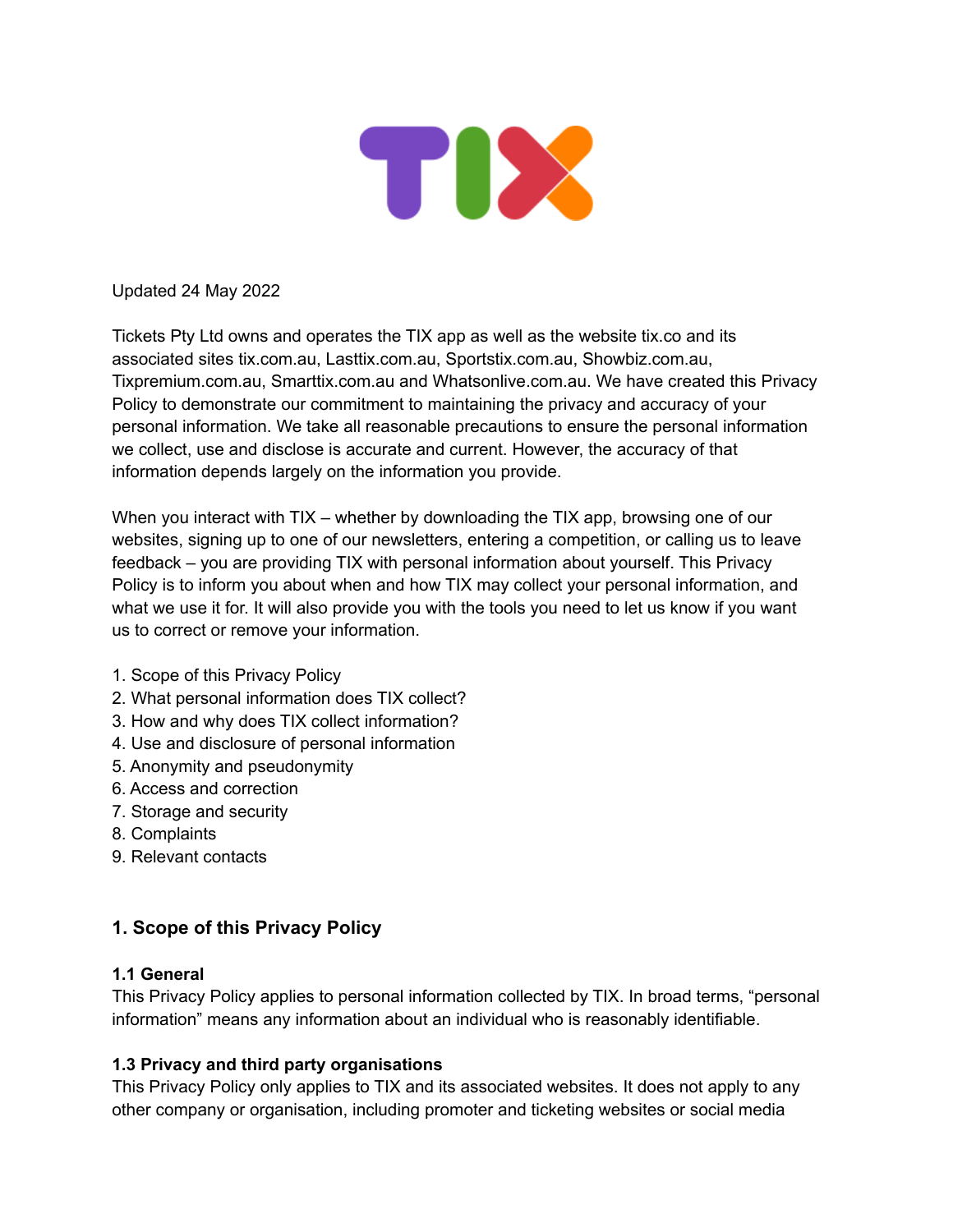

Updated 24 May 2022

Tickets Pty Ltd owns and operates the TIX app as well as the website tix.co and its associated sites tix.com.au, Lasttix.com.au, Sportstix.com.au, Showbiz.com.au, Tixpremium.com.au, Smarttix.com.au and Whatsonlive.com.au. We have created this Privacy Policy to demonstrate our commitment to maintaining the privacy and accuracy of your personal information. We take all reasonable precautions to ensure the personal information we collect, use and disclose is accurate and current. However, the accuracy of that information depends largely on the information you provide.

When you interact with TIX – whether by downloading the TIX app, browsing one of our websites, signing up to one of our newsletters, entering a competition, or calling us to leave feedback – you are providing TIX with personal information about yourself. This Privacy Policy is to inform you about when and how TIX may collect your personal information, and what we use it for. It will also provide you with the tools you need to let us know if you want us to correct or remove your information.

- 1. Scope of this Privacy Policy
- 2. What personal information does TIX collect?
- 3. How and why does TIX collect information?
- 4. Use and disclosure of personal information
- 5. Anonymity and pseudonymity
- 6. Access and correction
- 7. Storage and security
- 8. Complaints
- 9. Relevant contacts

# **1. Scope of this Privacy Policy**

#### **1.1 General**

This Privacy Policy applies to personal information collected by TIX. In broad terms, "personal information" means any information about an individual who is reasonably identifiable.

#### **1.3 Privacy and third party organisations**

This Privacy Policy only applies to TIX and its associated websites. It does not apply to any other company or organisation, including promoter and ticketing websites or social media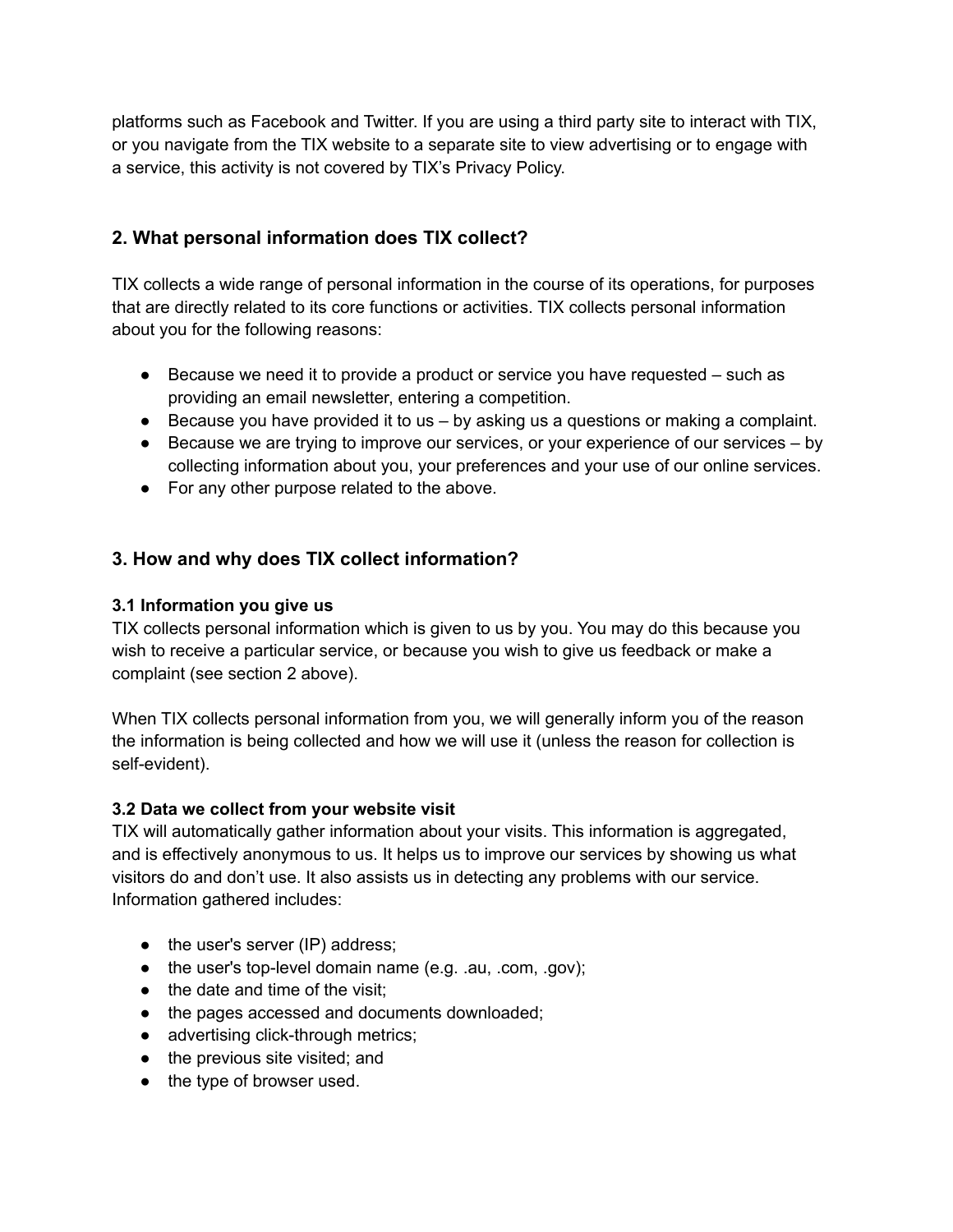platforms such as Facebook and Twitter. If you are using a third party site to interact with TIX, or you navigate from the TIX website to a separate site to view advertising or to engage with a service, this activity is not covered by TIX's Privacy Policy.

# **2. What personal information does TIX collect?**

TIX collects a wide range of personal information in the course of its operations, for purposes that are directly related to its core functions or activities. TIX collects personal information about you for the following reasons:

- Because we need it to provide a product or service you have requested such as providing an email newsletter, entering a competition.
- $\bullet$  Because you have provided it to us  $-$  by asking us a questions or making a complaint.
- $\bullet$  Because we are trying to improve our services, or your experience of our services  $-$  by collecting information about you, your preferences and your use of our online services.
- For any other purpose related to the above.

# **3. How and why does TIX collect information?**

### **3.1 Information you give us**

TIX collects personal information which is given to us by you. You may do this because you wish to receive a particular service, or because you wish to give us feedback or make a complaint (see section 2 above).

When TIX collects personal information from you, we will generally inform you of the reason the information is being collected and how we will use it (unless the reason for collection is self-evident).

### **3.2 Data we collect from your website visit**

TIX will automatically gather information about your visits. This information is aggregated, and is effectively anonymous to us. It helps us to improve our services by showing us what visitors do and don't use. It also assists us in detecting any problems with our service. Information gathered includes:

- $\bullet$  the user's server (IP) address;
- the user's top-level domain name (e.g. .au, .com, .gov);
- the date and time of the visit;
- the pages accessed and documents downloaded;
- advertising click-through metrics;
- the previous site visited; and
- the type of browser used.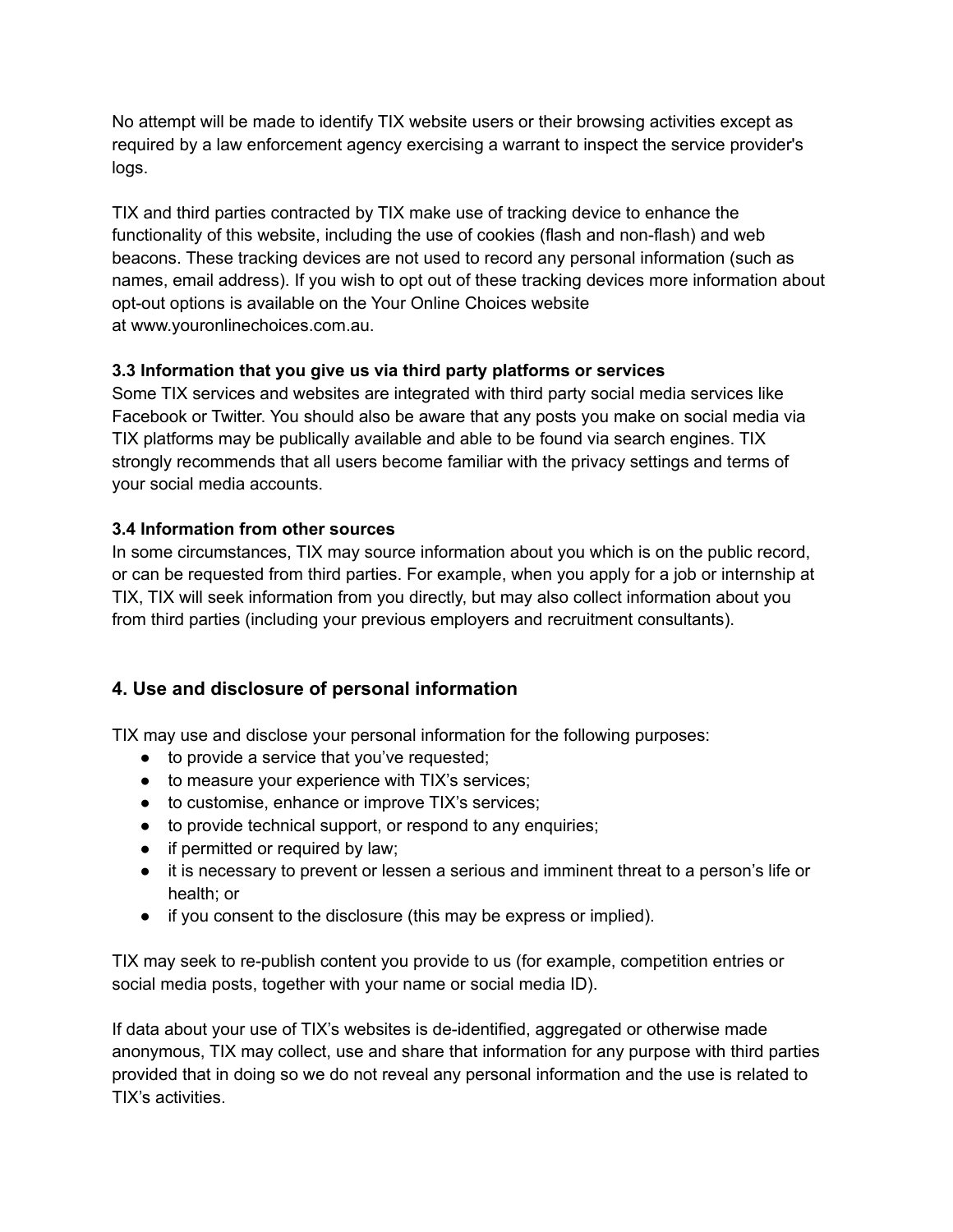No attempt will be made to identify TIX website users or their browsing activities except as required by a law enforcement agency exercising a warrant to inspect the service provider's logs.

TIX and third parties contracted by TIX make use of tracking device to enhance the functionality of this website, including the use of cookies (flash and non-flash) and web beacons. These tracking devices are not used to record any personal information (such as names, email address). If you wish to opt out of these tracking devices more information about opt-out options is available on the Your Online Choices website at www.youronlinechoices.com.au.

## **3.3 Information that you give us via third party platforms or services**

Some TIX services and websites are integrated with third party social media services like Facebook or Twitter. You should also be aware that any posts you make on social media via TIX platforms may be publically available and able to be found via search engines. TIX strongly recommends that all users become familiar with the privacy settings and terms of your social media accounts.

## **3.4 Information from other sources**

In some circumstances, TIX may source information about you which is on the public record, or can be requested from third parties. For example, when you apply for a job or internship at TIX, TIX will seek information from you directly, but may also collect information about you from third parties (including your previous employers and recruitment consultants).

# **4. Use and disclosure of personal information**

TIX may use and disclose your personal information for the following purposes:

- to provide a service that you've requested;
- to measure your experience with TIX's services;
- to customise, enhance or improve TIX's services;
- to provide technical support, or respond to any enquiries;
- if permitted or required by law;
- it is necessary to prevent or lessen a serious and imminent threat to a person's life or health; or
- if you consent to the disclosure (this may be express or implied).

TIX may seek to re-publish content you provide to us (for example, competition entries or social media posts, together with your name or social media ID).

If data about your use of TIX's websites is de-identified, aggregated or otherwise made anonymous, TIX may collect, use and share that information for any purpose with third parties provided that in doing so we do not reveal any personal information and the use is related to TIX's activities.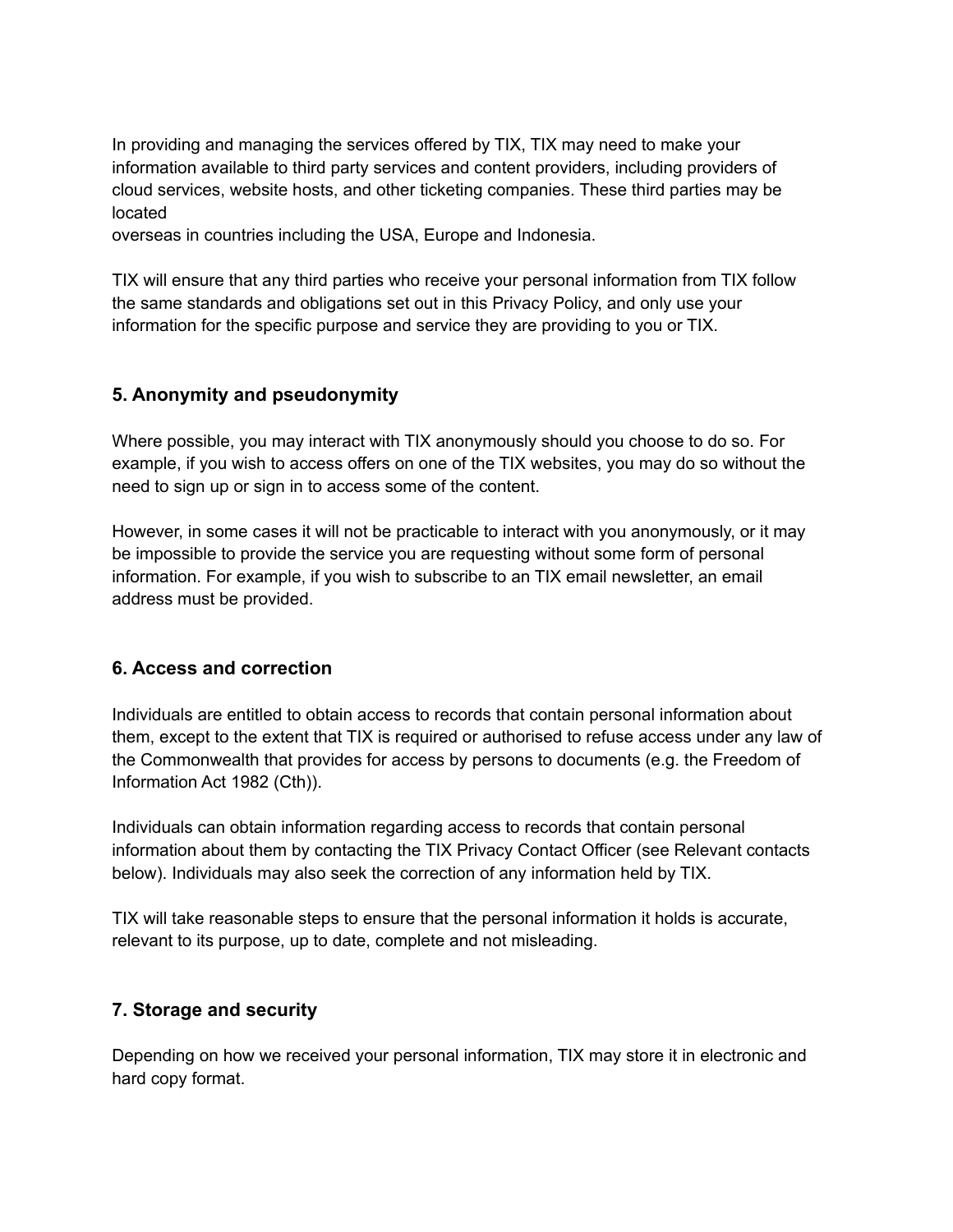In providing and managing the services offered by TIX, TIX may need to make your information available to third party services and content providers, including providers of cloud services, website hosts, and other ticketing companies. These third parties may be located

overseas in countries including the USA, Europe and Indonesia.

TIX will ensure that any third parties who receive your personal information from TIX follow the same standards and obligations set out in this Privacy Policy, and only use your information for the specific purpose and service they are providing to you or TIX.

### **5. Anonymity and pseudonymity**

Where possible, you may interact with TIX anonymously should you choose to do so. For example, if you wish to access offers on one of the TIX websites, you may do so without the need to sign up or sign in to access some of the content.

However, in some cases it will not be practicable to interact with you anonymously, or it may be impossible to provide the service you are requesting without some form of personal information. For example, if you wish to subscribe to an TIX email newsletter, an email address must be provided.

### **6. Access and correction**

Individuals are entitled to obtain access to records that contain personal information about them, except to the extent that TIX is required or authorised to refuse access under any law of the Commonwealth that provides for access by persons to documents (e.g. the Freedom of Information Act 1982 (Cth)).

Individuals can obtain information regarding access to records that contain personal information about them by contacting the TIX Privacy Contact Officer (see Relevant contacts below). Individuals may also seek the correction of any information held by TIX.

TIX will take reasonable steps to ensure that the personal information it holds is accurate, relevant to its purpose, up to date, complete and not misleading.

### **7. Storage and security**

Depending on how we received your personal information, TIX may store it in electronic and hard copy format.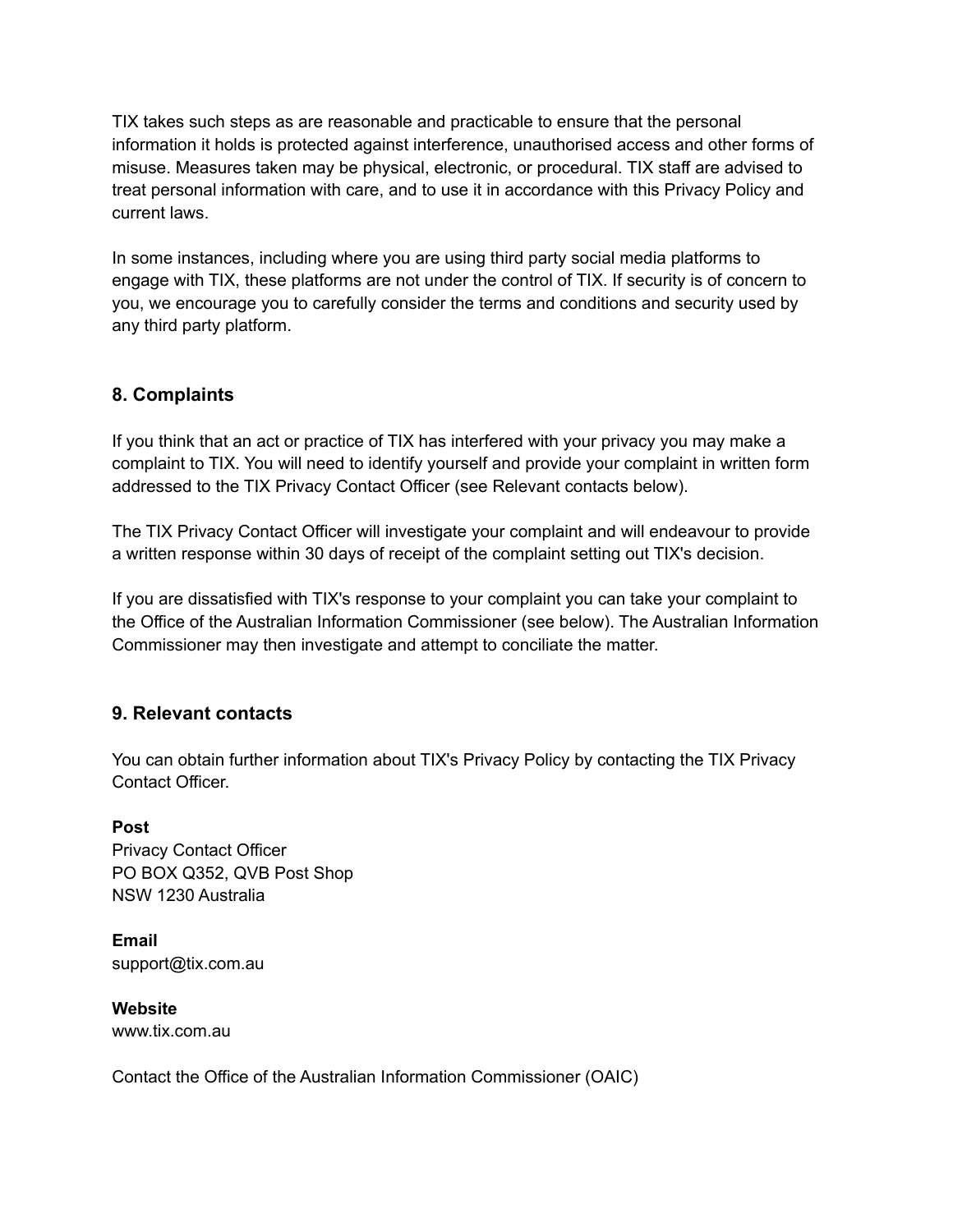TIX takes such steps as are reasonable and practicable to ensure that the personal information it holds is protected against interference, unauthorised access and other forms of misuse. Measures taken may be physical, electronic, or procedural. TIX staff are advised to treat personal information with care, and to use it in accordance with this Privacy Policy and current laws.

In some instances, including where you are using third party social media platforms to engage with TIX, these platforms are not under the control of TIX. If security is of concern to you, we encourage you to carefully consider the terms and conditions and security used by any third party platform.

# **8. Complaints**

If you think that an act or practice of TIX has interfered with your privacy you may make a complaint to TIX. You will need to identify yourself and provide your complaint in written form addressed to the TIX Privacy Contact Officer (see Relevant contacts below).

The TIX Privacy Contact Officer will investigate your complaint and will endeavour to provide a written response within 30 days of receipt of the complaint setting out TIX's decision.

If you are dissatisfied with TIX's response to your complaint you can take your complaint to the Office of the Australian Information Commissioner (see below). The Australian Information Commissioner may then investigate and attempt to conciliate the matter.

# **9. Relevant contacts**

You can obtain further information about TIX's Privacy Policy by contacting the TIX Privacy Contact Officer.

**Post** Privacy Contact Officer PO BOX Q352, QVB Post Shop NSW 1230 Australia

**Email** support@tix.com.au

**Website** www.tix.com.au

Contact the Office of the Australian Information Commissioner (OAIC)